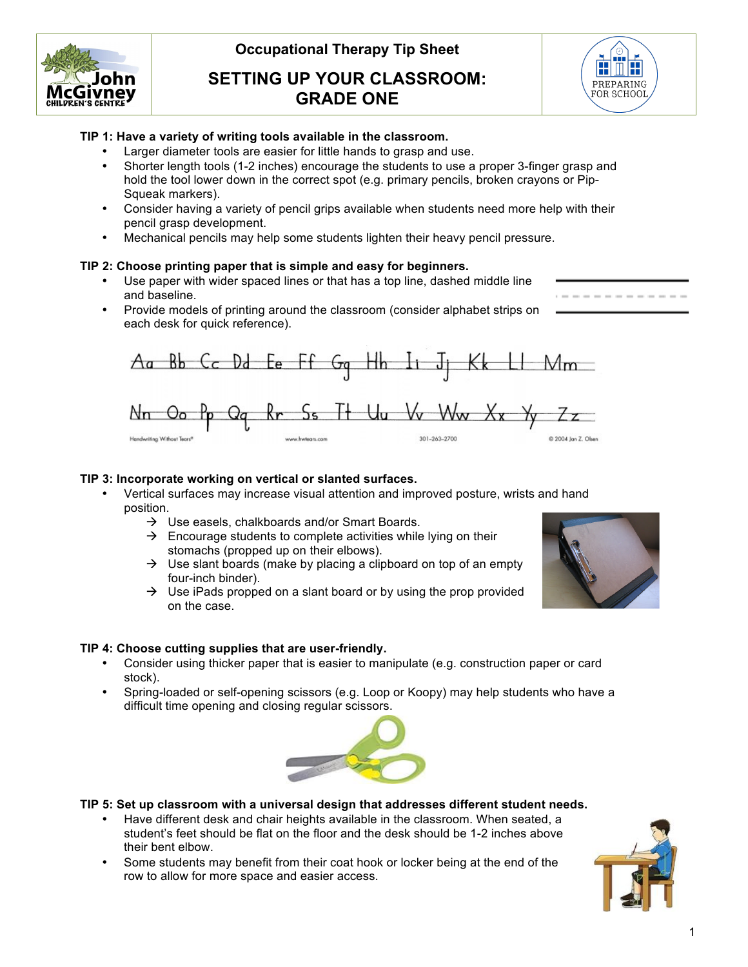

# **SETTING UP YOUR CLASSROOM: GRADE ONE**



-----------

## **TIP 1: Have a variety of writing tools available in the classroom.**

- Larger diameter tools are easier for little hands to grasp and use.
- Shorter length tools (1-2 inches) encourage the students to use a proper 3-finger grasp and hold the tool lower down in the correct spot (e.g. primary pencils, broken crayons or Pip-Squeak markers).
- Consider having a variety of pencil grips available when students need more help with their pencil grasp development.
- Mechanical pencils may help some students lighten their heavy pencil pressure.

#### **TIP 2: Choose printing paper that is simple and easy for beginners.**

- Use paper with wider spaced lines or that has a top line, dashed middle line and baseline.
- Provide models of printing around the classroom (consider alphabet strips on each desk for quick reference).



#### **TIP 3: Incorporate working on vertical or slanted surfaces.**

- Vertical surfaces may increase visual attention and improved posture, wrists and hand position.
	- $\rightarrow$  Use easels, chalkboards and/or Smart Boards.
	- $\rightarrow$  Encourage students to complete activities while lying on their stomachs (propped up on their elbows).
	- $\rightarrow$  Use slant boards (make by placing a clipboard on top of an empty four-inch binder).
	- $\rightarrow$  Use iPads propped on a slant board or by using the prop provided on the case.

## **TIP 4: Choose cutting supplies that are user-friendly.**

- Consider using thicker paper that is easier to manipulate (e.g. construction paper or card stock).
- Spring-loaded or self-opening scissors (e.g. Loop or Koopy) may help students who have a difficult time opening and closing regular scissors.



#### **TIP 5: Set up classroom with a universal design that addresses different student needs.**

- Have different desk and chair heights available in the classroom. When seated, a student's feet should be flat on the floor and the desk should be 1-2 inches above their bent elbow.
- Some students may benefit from their coat hook or locker being at the end of the row to allow for more space and easier access.